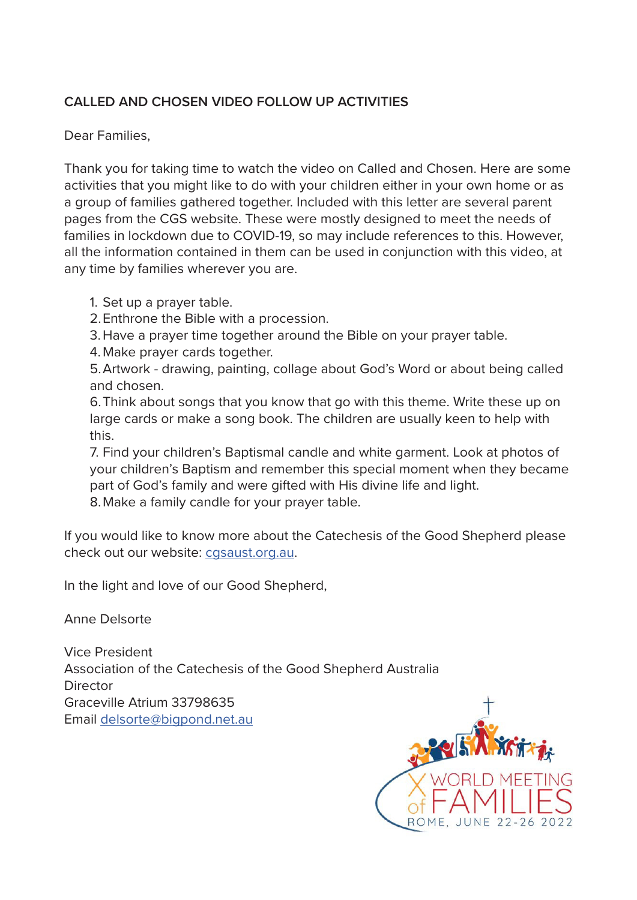#### **CALLED AND CHOSEN VIDEO FOLLOW UP ACTIVITIES**

Dear Families,

Thank you for taking time to watch the video on Called and Chosen. Here are some activities that you might like to do with your children either in your own home or as a group of families gathered together. Included with this letter are several parent pages from the CGS website. These were mostly designed to meet the needs of families in lockdown due to COVID-19, so may include references to this. However, all the information contained in them can be used in conjunction with this video, at any time by families wherever you are.

- 1. Set up a prayer table.
- 2.Enthrone the Bible with a procession.
- 3.Have a prayer time together around the Bible on your prayer table.
- 4. Make prayer cards together.

5.Artwork - drawing, painting, collage about God's Word or about being called and chosen.

6.Think about songs that you know that go with this theme. Write these up on large cards or make a song book. The children are usually keen to help with this.

7. Find your children's Baptismal candle and white garment. Look at photos of your children's Baptism and remember this special moment when they became part of God's family and were gifted with His divine life and light. 8.Make a family candle for your prayer table.

If you would like to know more about the Catechesis of the Good Shepherd please check out our website: [cgsaust.org.au](http://cgsaust.org.au).

In the light and love of our Good Shepherd,

Anne Delsorte

Vice President Association of the Catechesis of the Good Shepherd Australia **Director** Graceville Atrium 33798635 Email [delsorte@bigpond.net.au](mailto:delsorte%40bigpond.net.au?subject=)

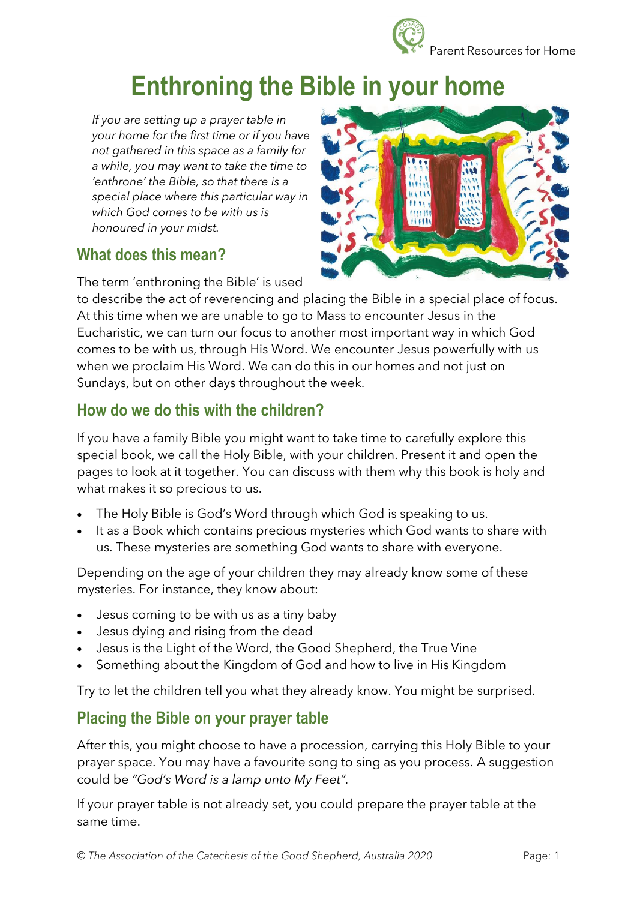

# **Enthroning the Bible in your home**

*If you are setting up a prayer table in your home for the first time or if you have not gathered in this space as a family for a while, you may want to take the time to 'enthrone' the Bible, so that there is a special place where this particular way in which God comes to be with us is honoured in your midst.*

#### **What does this mean?**

The term 'enthroning the Bible' is used



to describe the act of reverencing and placing the Bible in a special place of focus. At this time when we are unable to go to Mass to encounter Jesus in the Eucharistic, we can turn our focus to another most important way in which God comes to be with us, through His Word. We encounter Jesus powerfully with us when we proclaim His Word. We can do this in our homes and not just on Sundays, but on other days throughout the week.

## **How do we do this with the children?**

If you have a family Bible you might want to take time to carefully explore this special book, we call the Holy Bible, with your children. Present it and open the pages to look at it together. You can discuss with them why this book is holy and what makes it so precious to us.

- The Holy Bible is God's Word through which God is speaking to us.
- It as a Book which contains precious mysteries which God wants to share with us. These mysteries are something God wants to share with everyone.

Depending on the age of your children they may already know some of these mysteries. For instance, they know about:

- Jesus coming to be with us as a tiny baby
- Jesus dying and rising from the dead
- Jesus is the Light of the Word, the Good Shepherd, the True Vine
- Something about the Kingdom of God and how to live in His Kingdom

Try to let the children tell you what they already know. You might be surprised.

## **Placing the Bible on your prayer table**

After this, you might choose to have a procession, carrying this Holy Bible to your prayer space. You may have a favourite song to sing as you process. A suggestion could be *"God's Word is a lamp unto My Feet".*

If your prayer table is not already set, you could prepare the prayer table at the same time.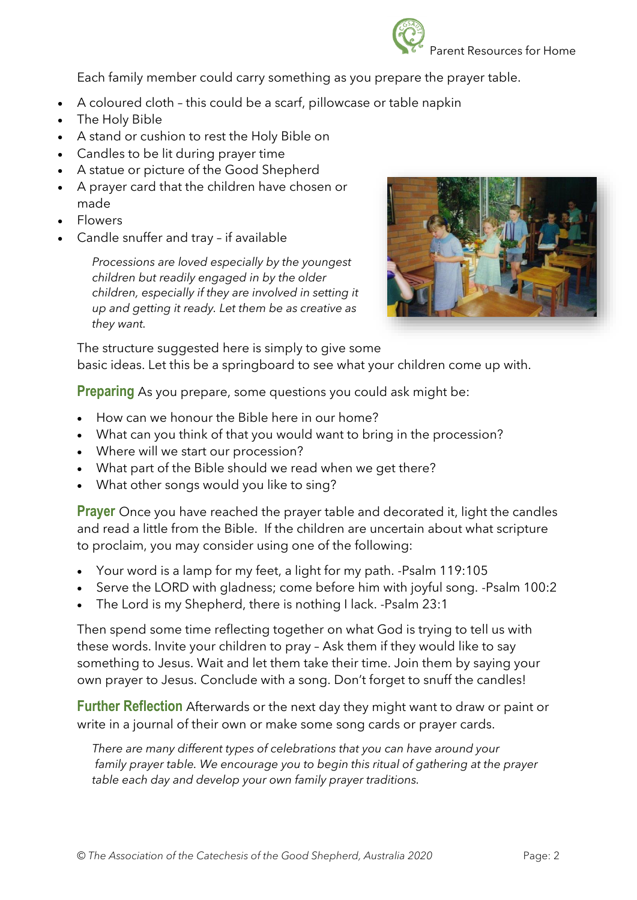

Each family member could carry something as you prepare the prayer table.

- A coloured cloth this could be a scarf, pillowcase or table napkin
- The Holy Bible
- A stand or cushion to rest the Holy Bible on
- Candles to be lit during prayer time
- A statue or picture of the Good Shepherd
- A prayer card that the children have chosen or made
- Flowers
- Candle snuffer and tray if available

*Processions are loved especially by the youngest children but readily engaged in by the older children, especially if they are involved in setting it up and getting it ready. Let them be as creative as they want.*



The structure suggested here is simply to give some basic ideas. Let this be a springboard to see what your children come up with.

**Preparing** As you prepare, some questions you could ask might be:

- How can we honour the Bible here in our home?
- What can you think of that you would want to bring in the procession?
- Where will we start our procession?
- What part of the Bible should we read when we get there?
- What other songs would you like to sing?

**Prayer** Once you have reached the prayer table and decorated it, light the candles and read a little from the Bible. If the children are uncertain about what scripture to proclaim, you may consider using one of the following:

- Your word is a lamp for my feet, a light for my path. -Psalm 119:105
- Serve the LORD with gladness; come before him with joyful song. -Psalm 100:2
- The Lord is my Shepherd, there is nothing I lack. -Psalm 23:1

Then spend some time reflecting together on what God is trying to tell us with these words. Invite your children to pray – Ask them if they would like to say something to Jesus. Wait and let them take their time. Join them by saying your own prayer to Jesus. Conclude with a song. Don't forget to snuff the candles!

**Further Reflection** Afterwards or the next day they might want to draw or paint or write in a journal of their own or make some song cards or prayer cards.

*There are many different types of celebrations that you can have around your family prayer table. We encourage you to begin this ritual of gathering at the prayer table each day and develop your own family prayer traditions.*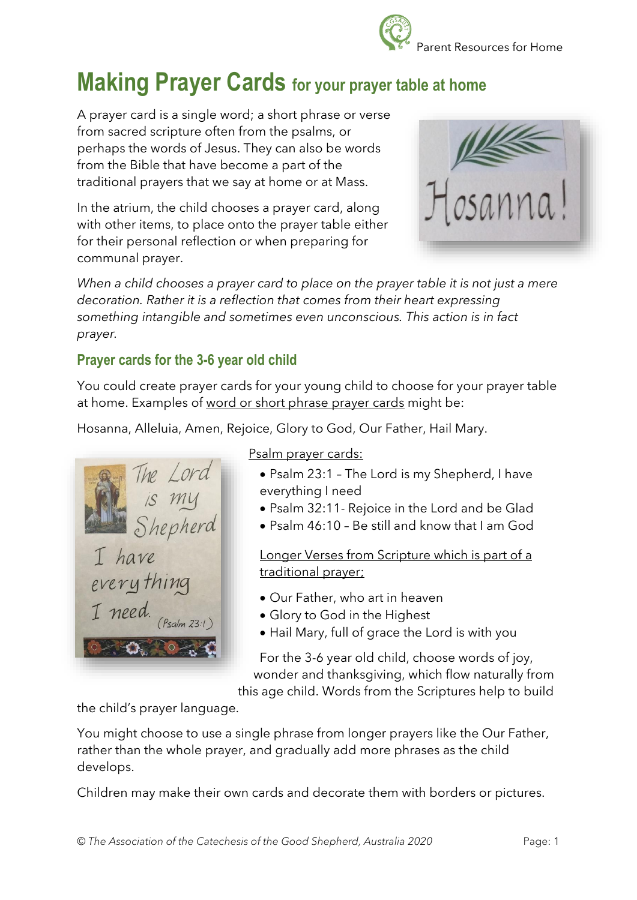## **Making Prayer Cards for your prayer table at home**

A prayer card is a single word; a short phrase or verse from sacred scripture often from the psalms, or perhaps the words of Jesus. They can also be words from the Bible that have become a part of the traditional prayers that we say at home or at Mass.

In the atrium, the child chooses a prayer card, along with other items, to place onto the prayer table either for their personal reflection or when preparing for communal prayer.



*When a child chooses a prayer card to place on the prayer table it is not just a mere decoration. Rather it is a reflection that comes from their heart expressing something intangible and sometimes even unconscious. This action is in fact prayer.* 

#### **Prayer cards for the 3-6 year old child**

You could create prayer cards for your young child to choose for your prayer table at home. Examples of word or short phrase prayer cards might be:

Hosanna, Alleluia, Amen, Rejoice, Glory to God, Our Father, Hail Mary.

The Lord<br>is my<br>Shepherd have everything I need.

Psalm prayer cards:

- Psalm 23:1 The Lord is my Shepherd, I have everything I need
- Psalm 32:11- Rejoice in the Lord and be Glad
- Psalm 46:10 Be still and know that I am God

Longer Verses from Scripture which is part of a traditional prayer;

- Our Father, who art in heaven
- Glory to God in the Highest
- Hail Mary, full of grace the Lord is with you

For the 3-6 year old child, choose words of joy, wonder and thanksgiving, which flow naturally from

this age child. Words from the Scriptures help to build

the child's prayer language.

You might choose to use a single phrase from longer prayers like the Our Father, rather than the whole prayer, and gradually add more phrases as the child develops.

Children may make their own cards and decorate them with borders or pictures.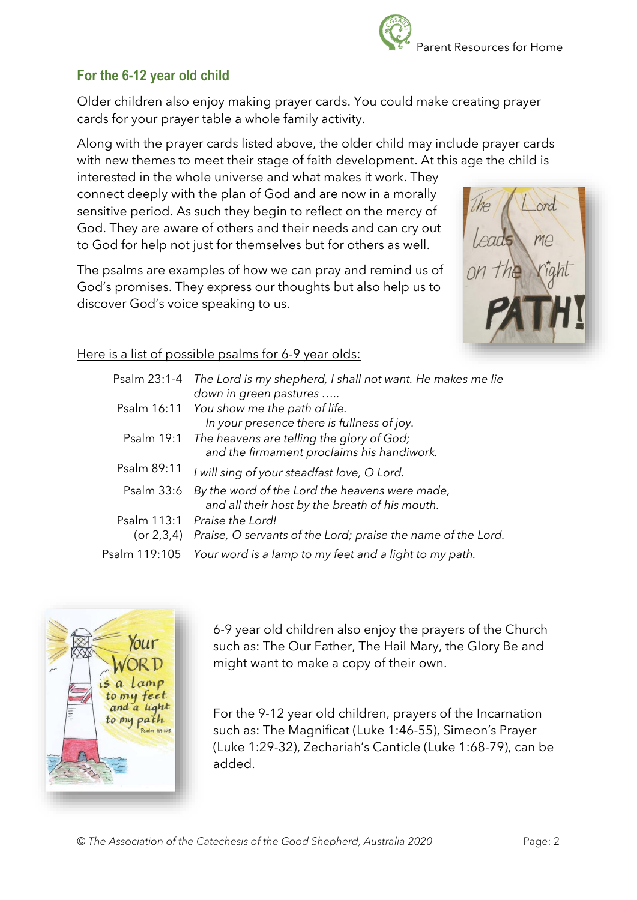#### **For the 6-12 year old child**

Older children also enjoy making prayer cards. You could make creating prayer cards for your prayer table a whole family activity.

Along with the prayer cards listed above, the older child may include prayer cards with new themes to meet their stage of faith development. At this age the child is

interested in the whole universe and what makes it work. They connect deeply with the plan of God and are now in a morally sensitive period. As such they begin to reflect on the mercy of God. They are aware of others and their needs and can cry out to God for help not just for themselves but for others as well.

The psalms are examples of how we can pray and remind us of God's promises. They express our thoughts but also help us to discover God's voice speaking to us.

#### Here is a list of possible psalms for 6-9 year olds:

| Psalm 23:1-4  | The Lord is my shepherd, I shall not want. He makes me lie<br>down in green pastures             |
|---------------|--------------------------------------------------------------------------------------------------|
| Psalm 16:11   | You show me the path of life.<br>In your presence there is fullness of joy.                      |
| Psalm 19:1    | The heavens are telling the glory of God;<br>and the firmament proclaims his handiwork.          |
| Psalm 89:11   | I will sing of your steadfast love, O Lord.                                                      |
| Psalm 33:6    | By the word of the Lord the heavens were made,<br>and all their host by the breath of his mouth. |
| Psalm 113:1   | Praise the Lord!<br>(or 2,3,4) Praise, O servants of the Lord; praise the name of the Lord.      |
| Psalm 119:105 | Your word is a lamp to my feet and a light to my path.                                           |

6-9 year old children also enjoy the prayers of the Church such as: The Our Father, The Hail Mary, the Glory Be and might want to make a copy of their own.

For the 9-12 year old children, prayers of the Incarnation such as: The Magnificat (Luke 1:46-55), Simeon's Prayer (Luke 1:29-32), Zechariah's Canticle (Luke 1:68-79), can be added.